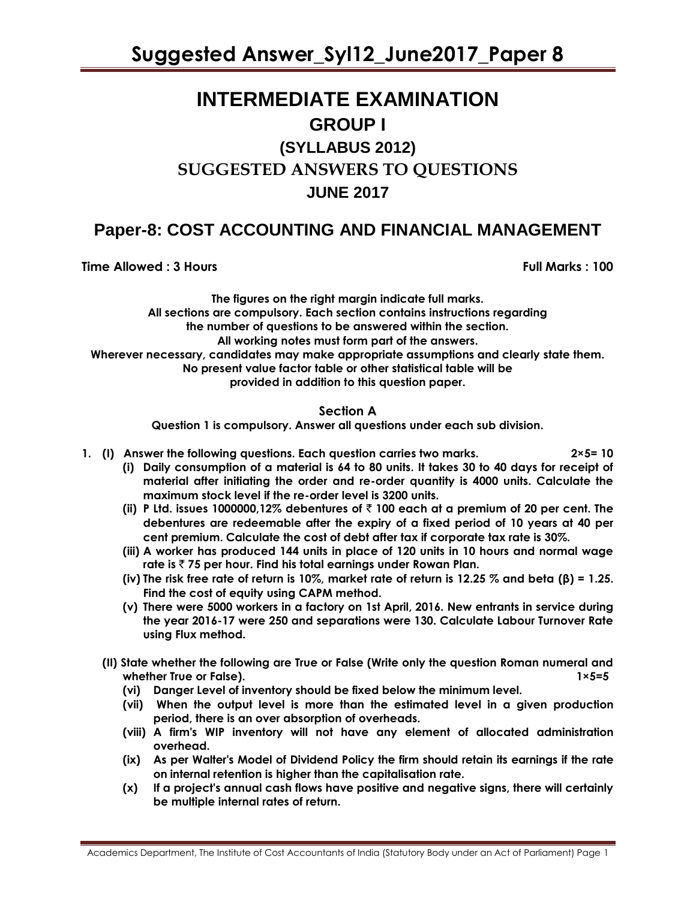# **INTERMEDIATE EXAMINATION GROUP I (SYLLABUS 2012)**

# **SUGGESTED ANSWERS TO QUESTIONS**

# **JUNE 2017**

# **Paper-8: COST ACCOUNTING AND FINANCIAL MANAGEMENT**

**Time Allowed : 3 Hours Full Marks** : 100

**The figures on the right margin indicate full marks. All sections are compulsory. Each section contains instructions regarding the number of questions to be answered within the section. All working notes must form part of the answers. Wherever necessary, candidates may make appropriate assumptions and clearly state them. No present value factor table or other statistical table will be provided in addition to this question paper.**

# **Section A**

**Question 1 is compulsory. Answer all questions under each sub division.**

- **1. (I) Answer the following questions. Each question carries two marks. 2×5= 10**
	- **(i) Daily consumption of a material is 64 to 80 units. It takes 30 to 40 days for receipt of material after initiating the order and re-order quantity is 4000 units. Calculate the maximum stock level if the re-order level is 3200 units.**
	- **(ii) P Ltd. issues 1000000,12% debentures of** ` **100 each at a premium of 20 per cent. The debentures are redeemable after the expiry of a fixed period of 10 years at 40 per cent premium. Calculate the cost of debt after tax if corporate tax rate is 30%.**
	- **(iii) A worker has produced 144 units in place of 120 units in 10 hours and normal wage rate is** ` **75 per hour. Find his total earnings under Rowan Plan.**
	- **(iv) The risk free rate of return is 10%, market rate of return is 12.25 % and beta (β) = 1.25. Find the cost of equity using CAPM method.**
	- **(v) There were 5000 workers in a factory on 1st April, 2016. New entrants in service during the year 2016-17 were 250 and separations were 130. Calculate Labour Turnover Rate using Flux method.**
	- **(II) State whether the following are True or False (Write only the question Roman numeral and whether True or False). 1×5=5**
		- **(vi) Danger Level of inventory should be fixed below the minimum level.**
		- **(vii) When the output level is more than the estimated level in a given production period, there is an over absorption of overheads.**
		- **(viii) A firm's WIP inventory will not have any element of allocated administration overhead.**
		- **(ix) As per Walter's Model of Dividend Policy the firm should retain its earnings if the rate on internal retention is higher than the capitalisation rate.**
		- **(x) If a project's annual cash flows have positive and negative signs, there will certainly be multiple internal rates of return.**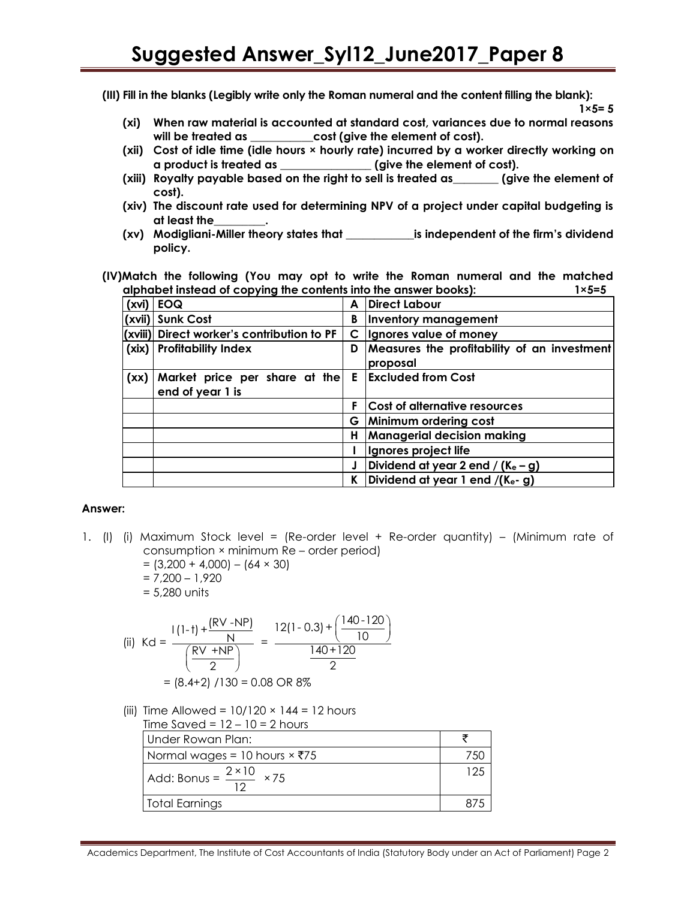**(III) Fill in the blanks (Legibly write only the Roman numeral and the content filling the blank):**

**1×5= 5**

- **(xi) When raw material is accounted at standard cost, variances due to normal reasons will be treated as \_\_\_\_\_\_\_\_\_\_\_cost (give the element of cost).**
- **(xii) Cost of idle time (idle hours × hourly rate) incurred by a worker directly working on a product is treated as \_\_\_\_\_\_\_\_\_\_\_\_\_\_\_\_ (give the element of cost).**
- **(xiii) Royalty payable based on the right to sell is treated as\_\_\_\_\_\_\_\_ (give the element of cost).**
- **(xiv) The discount rate used for determining NPV of a project under capital budgeting is at least the\_\_\_\_\_\_\_\_\_.**
- **(xv) Modigliani-Miller theory states that \_\_\_\_\_\_\_\_\_\_\_\_is independent of the firm's dividend policy.**
- **(IV)Match the following (You may opt to write the Roman numeral and the matched alphabet instead of copying the contents into the answer books): 1×5=5**

| (xvi) | <b>EOQ</b>                                        | A  | Direct Labour                                           |
|-------|---------------------------------------------------|----|---------------------------------------------------------|
|       | (xvii) Sunk Cost                                  | B  | Inventory management                                    |
|       | (xviii) Direct worker's contribution to PF        | C  | Ignores value of money                                  |
| (xix) | <b>Profitability Index</b>                        | D  | Measures the profitability of an investment<br>proposal |
| (xx)  | Market price per share at the<br>end of year 1 is |    | <b>E</b> Excluded from Cost                             |
|       |                                                   | F. | Cost of alternative resources                           |
|       |                                                   | G. | Minimum ordering cost                                   |
|       |                                                   | н  | <b>Managerial decision making</b>                       |
|       |                                                   |    | Ignores project life                                    |
|       |                                                   |    | Dividend at year 2 end / (K $_e$ – g)                   |
|       |                                                   | ĸ  | Dividend at year 1 end $/(K_e - g)$                     |

## **Answer:**

- 1. (I) (i) Maximum Stock level = (Re-order level + Re-order quantity) (Minimum rate of consumption × minimum Re – order period)
	- $= (3,200 + 4,000) (64 \times 30)$  $= 7.200 - 1.920$
	- = 5,280 units

(ii) 
$$
Kd = \frac{1(1-1) + \frac{(RV - NP)}{N}}{\frac{RV + NP}{2}} = \frac{12(1-0.3) + \frac{140-120}{10}}{140+120}
$$

$$
= (8.4+2) / 130 = 0.08 \text{ OR } 8\%
$$

(iii) Time Allowed =  $10/120 \times 144 = 12$  hours  $Time$   $Sau$  $d = 12$   $10 - 2h$ 

| $11$ me Saved = 12 – 10 = 2 nours               |     |
|-------------------------------------------------|-----|
| Under Rowan Plan:                               |     |
| Normal wages = 10 hours $×75$                   |     |
| Add: Bonus = $\frac{2 \times 10}{12} \times 75$ | 125 |
| Total Earnings                                  |     |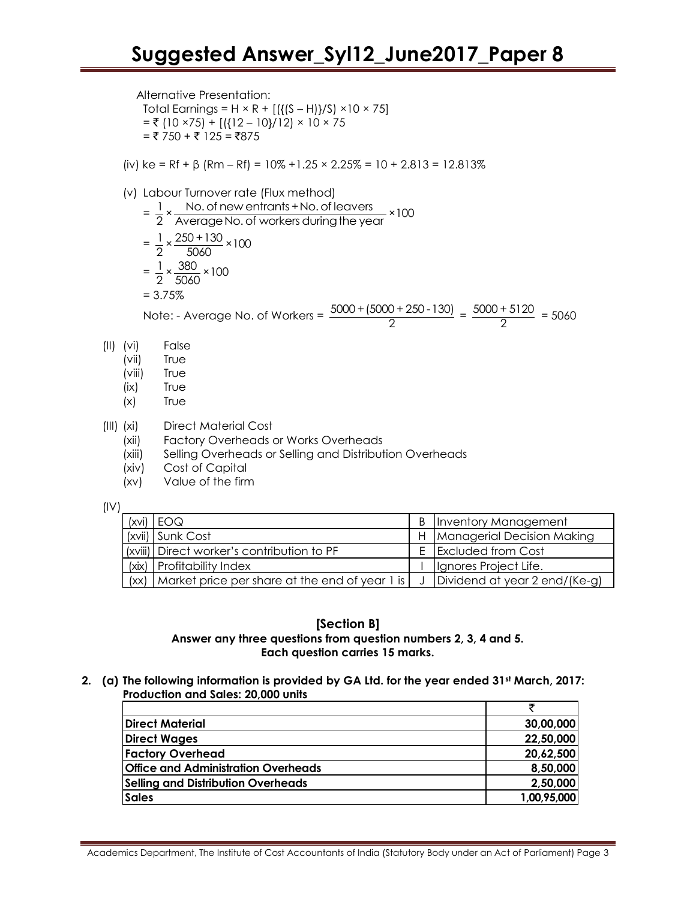Alternative Presentation: Total Earnings =  $H \times R + [({(S - H)})/S) \times 10 \times 75]$  $=$  ₹ (10 ×75) + [({12 – 10}/12) × 10 × 75  $=$  ₹ 750 + ₹ 125 = ₹875

(iv) ke = Rf +  $\beta$  (Rm – Rf) = 10% +1.25 × 2.25% = 10 + 2.813 = 12.813%

(v) Labor Turnover rate (Flux method)  
\n
$$
= \frac{1}{2} \times \frac{\text{No. of new entrants + No. of leaves}}{\text{Average No. of workers during the year}} \times 100
$$
\n
$$
= \frac{1}{2} \times \frac{250 + 130}{5060} \times 100
$$
\n
$$
= \frac{1}{2} \times \frac{380}{5060} \times 100
$$
\n= 3.75%  
\nNote: - Average No. of Workers =  $\frac{5000 + (5000 + 250 - 130)}{2} = \frac{5000 + 5120}{2}$ 

- (II) (vi) False
	- (vii) True
	- (viii) True
	- (ix) True
	- (x) True
- (III) (xi) Direct Material Cost
	- (xii) Factory Overheads or Works Overheads
	- (xiii) Selling Overheads or Selling and Distribution Overheads
	- (xiv) Cost of Capital
	- (xv) Value of the firm

(IV)

| (xvi) | EOQ                                            | B | Inventory Management           |
|-------|------------------------------------------------|---|--------------------------------|
|       | (xvii) Sunk Cost                               |   | H   Managerial Decision Making |
|       | (xviii) Direct worker's contribution to PF     |   | <b>Excluded from Cost</b>      |
| (xix) | <b>Profitability Index</b>                     |   | Ignores Project Life.          |
| (xx)  | Market price per share at the end of year 1 is |   | Dividend at year 2 end/(Ke-g)  |

 $\frac{13120}{2}$  = 5060

## **[Section B] Answer any three questions from question numbers 2, 3, 4 and 5. Each question carries 15 marks.**

**2. (a) The following information is provided by GA Ltd. for the year ended 31st March, 2017: Production and Sales: 20,000 units** 

| <b>Direct Material</b>                     | 30,00,000   |
|--------------------------------------------|-------------|
| <b>Direct Wages</b>                        | 22,50,000   |
| <b>Factory Overhead</b>                    | 20,62,500   |
| <b>Office and Administration Overheads</b> | 8,50,000    |
| <b>Selling and Distribution Overheads</b>  | 2,50,000    |
| <b>Sales</b>                               | 1,00,95,000 |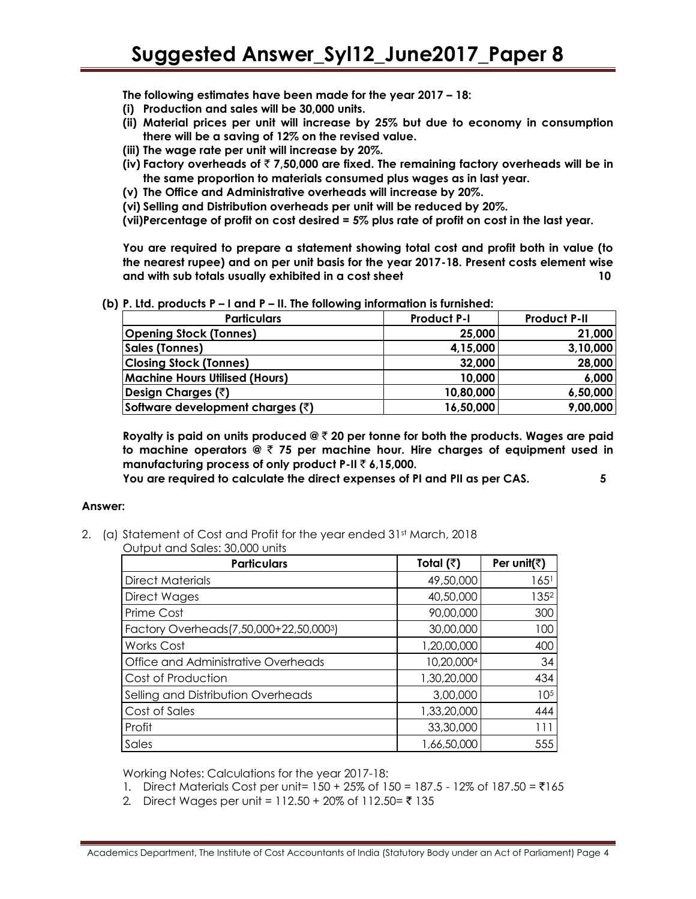**The following estimates have been made for the year 2017 – 18:** 

- **(i) Production and sales will be 30,000 units.**
- **(ii) Material prices per unit will increase by 25% but due to economy in consumption there will be a saving of 12% on the revised value.**
- **(iii) The wage rate per unit will increase by 20%.**
- **(iv) Factory overheads of** ` **7,50,000 are fixed. The remaining factory overheads will be in the same proportion to materials consumed plus wages as in last year.**
- **(v) The Office and Administrative overheads will increase by 20%.**
- **(vi) Selling and Distribution overheads per unit will be reduced by 20%.**
- **(vii)Percentage of profit on cost desired = 5% plus rate of profit on cost in the last year.**

**You are required to prepare a statement showing total cost and profit both in value (to the nearest rupee) and on per unit basis for the year 2017-18. Present costs element wise and with sub totals usually exhibited in a cost sheet 10**

| . <i>. .</i><br>.                        |                    |                     |  |  |
|------------------------------------------|--------------------|---------------------|--|--|
| <b>Particulars</b>                       | <b>Product P-I</b> | <b>Product P-II</b> |  |  |
| <b>Opening Stock (Tonnes)</b>            | 25,000             | 21,000              |  |  |
| <b>Sales (Tonnes)</b>                    | 4,15,000           | 3,10,000            |  |  |
| <b>Closing Stock (Tonnes)</b>            | 32,000             | 28,000              |  |  |
| <b>Machine Hours Utilised (Hours)</b>    | 10,000             | 6,000               |  |  |
| Design Charges (₹)                       | 10,80,000          | 6,50,000            |  |  |
| Software development charges $(\bar{z})$ | 16,50,000          | 9,00,000            |  |  |

**(b) P. Ltd. products P – I and P – II. The following information is furnished:** 

**Royalty is paid on units produced @** ` **20 per tonne for both the products. Wages are paid to machine operators @** ` **75 per machine hour. Hire charges of equipment used in manufacturing process of only product P-II** ` **6,15,000.**

**You are required to calculate the direct expenses of PI and PII as per CAS. 5**

# **Answer:**

2. (a) Statement of Cost and Profit for the year ended 31st March, 2018

| oupor and salos. Soloo orilis          |                   |                       |  |  |
|----------------------------------------|-------------------|-----------------------|--|--|
| <b>Particulars</b>                     | Total $(\bar{z})$ | Per unit( $\bar{z}$ ) |  |  |
| <b>Direct Materials</b>                | 49,50,000         | 165 <sup>1</sup>      |  |  |
| Direct Wages                           | 40,50,000         | 1352                  |  |  |
| Prime Cost                             | 90,00,000         | 300                   |  |  |
| Factory Overheads(7,50,000+22,50,0003) | 30,00,000         | 100                   |  |  |
| <b>Works Cost</b>                      | 1,20,00,000       | 400                   |  |  |
| Office and Administrative Overheads    | 10,20,0004        | 34                    |  |  |
| Cost of Production                     | 1,30,20,000       | 434                   |  |  |
| Selling and Distribution Overheads     | 3,00,000          | 105                   |  |  |
| Cost of Sales                          | 1,33,20,000       | 444                   |  |  |
| Profit                                 | 33,30,000         | 111                   |  |  |
| Sales                                  | 1,66,50,000       | 555                   |  |  |

Output and Sales: 30,000 units

Working Notes: Calculations for the year 2017-18:

- 1. Direct Materials Cost per unit =  $150 + 25\%$  of  $150 = 187.5 12\%$  of  $187.50 = ₹165$
- 2. Direct Wages per unit = 112.50 + 20% of 112.50 = ₹ 135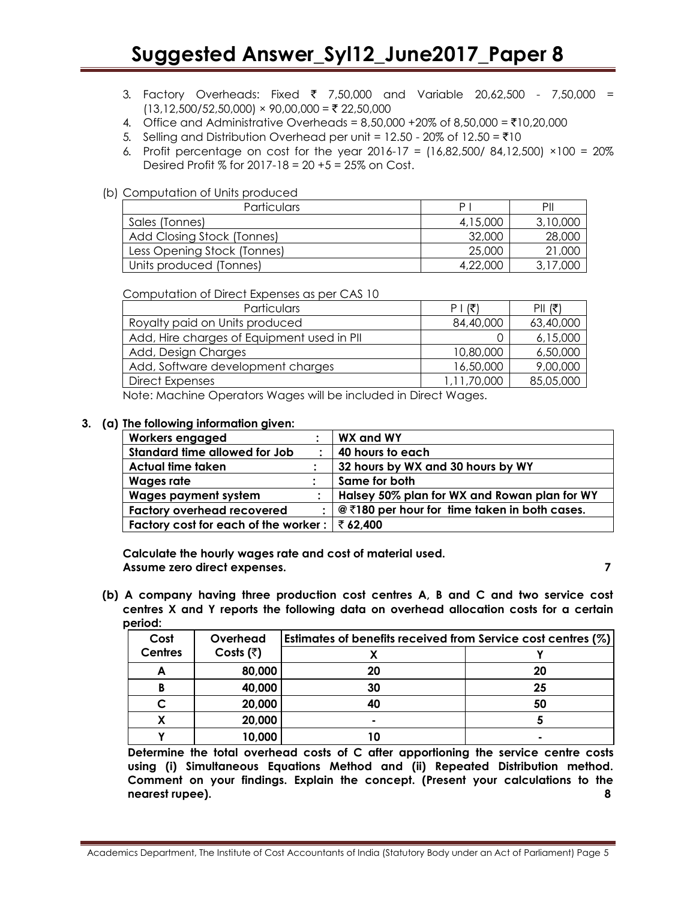- 3. Factory Overheads: Fixed  $\bar{\tau}$  7,50,000 and Variable 20,62,500 7,50,000 =  $(13,12,500/52,50,000) \times 90,00,000 = ₹ 22,50,000$
- 4. Office and Administrative Overheads =  $8,50,000 + 20\%$  of  $8,50,000 = \text{\texte}10,20,000$
- 5. Selling and Distribution Overhead per unit =  $12.50 20\%$  of  $12.50 = ₹10$
- 6. Profit percentage on cost for the year  $2016-17 = (16,82,500/84,12,500) \times 100 = 20\%$ Desired Profit % for 2017-18 = 20 +5 = 25% on Cost.

#### (b) Computation of Units produced

| Particulars                 | P        | PII      |
|-----------------------------|----------|----------|
| Sales (Tonnes)              | 4,15,000 | 3,10,000 |
| Add Closing Stock (Tonnes)  | 32,000   | 28,000   |
| Less Opening Stock (Tonnes) | 25,000   | 21,000   |
| Units produced (Tonnes)     | 4,22,000 | 3,17,000 |

Computation of Direct Expenses as per CAS 10

| Particulars                                | $P$  (そ)    | $PII($ ₹  |
|--------------------------------------------|-------------|-----------|
| Royalty paid on Units produced             | 84,40,000   | 63,40,000 |
| Add, Hire charges of Equipment used in PII |             | 6,15,000  |
| Add, Design Charges                        | 10,80,000   | 6,50,000  |
| Add, Software development charges          | 16,50,000   | 9,00,000  |
| Direct Expenses                            | 1.11.70.000 | 85,05,000 |

Note: Machine Operators Wages will be included in Direct Wages.

#### **3. (a) The following information given:**

| <b>Workers engaged</b>               |           | WX and WY                                    |
|--------------------------------------|-----------|----------------------------------------------|
| Standard time allowed for Job        | $\bullet$ | 40 hours to each                             |
| Actual time taken                    |           | 32 hours by WX and 30 hours by WY            |
| Wages rate                           |           | Same for both                                |
| <b>Wages payment system</b>          |           | Halsey 50% plan for WX and Rowan plan for WY |
| <b>Factory overhead recovered</b>    |           | @₹180 per hour for time taken in both cases. |
| Factory cost for each of the worker: |           | ₹ 62,400                                     |

**Calculate the hourly wages rate and cost of material used. Assume zero direct expenses. 7**

**(b) A company having three production cost centres A, B and C and two service cost centres X and Y reports the following data on overhead allocation costs for a certain period:**

| Cost           | Overhead          | Estimates of benefits received from Service cost centres (%) |    |  |
|----------------|-------------------|--------------------------------------------------------------|----|--|
| <b>Centres</b> | Costs $(\bar{z})$ |                                                              |    |  |
|                | 80,000            | 20                                                           | 20 |  |
| В              | 40,000            | 30                                                           | 25 |  |
|                | 20,000            |                                                              | 50 |  |
|                | 20,000            | ۰                                                            |    |  |
|                | 10,000            |                                                              |    |  |

**Determine the total overhead costs of C after apportioning the service centre costs using (i) Simultaneous Equations Method and (ii) Repeated Distribution method. Comment on your findings. Explain the concept. (Present your calculations to the nearest rupee). 8**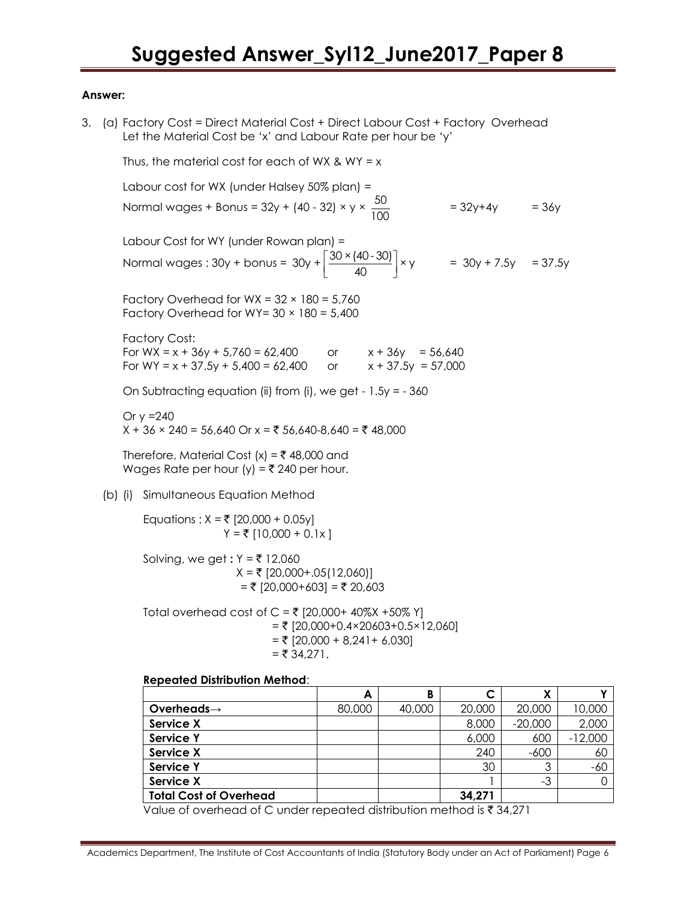#### **Answer:**

3. (a) Factory Cost = Direct Material Cost + Direct Labour Cost + Factory Overhead Let the Material Cost be 'x' and Labour Rate per hour be 'y'

Thus, the material cost for each of WX & WY =  $x$ Labour cost for WX (under Halsey 50% plan) = Normal wages + Bonus = 32y + (40 - 32) × y ×  $\frac{50}{100}$ 100  $= 32y + 4y$  = 36y Labour Cost for WY (under Rowan plan) = Normal wages :  $30y + b$ onus =  $30y + \left[\frac{30 \times (40 - 30)}{100}\right] \times y$  $\left[\frac{30 \times (40 - 30)}{40}\right]$  ×  $\gamma$  $30y + \left[\frac{30 \times (40 - 30)}{40}\right] \times y = 30y + 7.5y = 37.5y$ Factory Overhead for  $WX = 32 \times 180 = 5,760$ Factory Overhead for WY=  $30 \times 180 = 5,400$ Factory Cost: For WX = x + 36y + 5,760 = 62,400 or  $x + 36y = 56,640$ For WY =  $x + 37.5y + 5,400 = 62,400$  or  $x + 37.5y = 57,000$ On Subtracting equation (ii) from (i), we get -  $1.5y = -360$ Or  $y = 240$  $X + 36 \times 240 = 56,640$  Or  $x = ₹ 56,640-8,640 = ₹ 48,000$ Therefore, Material Cost  $(x) = \overline{x}$  48,000 and Wages Rate per hour (y) =  $\overline{5}$  240 per hour. (b) (i) Simultaneous Equation Method Equations :  $X = ₹$  [20,000 + 0.05y]  $Y = ₹ [10,000 + 0.1x]$ Solving, we get **:** Y = ` 12,060  $X = ₹$  [20,000+.05(12,060)]  $=$  ₹ [20,000+603] = ₹ 20,603 Total overhead cost of C = ₹ [20,000+ 40%X +50% Y]

 $=$  ₹ [20,000+0.4×20603+0.5×12,060]  $=$  ₹ [20,000 + 8,241 + 6,030]  $=$  ₹ 34,271.

## **Repeated Distribution Method**:

|                               | A      | B      |        | χ         |           |
|-------------------------------|--------|--------|--------|-----------|-----------|
| Overheads $\rightarrow$       | 80,000 | 40,000 | 20,000 | 20,000    | 10,000    |
| Service X                     |        |        | 8,000  | $-20,000$ | 2,000     |
| <b>Service Y</b>              |        |        | 6,000  | 600       | $-12,000$ |
| Service X                     |        |        | 240    | $-600$    | 60        |
| <b>Service Y</b>              |        |        | 30     | 3         | $-60$     |
| <b>Service X</b>              |        |        |        | $-3$      |           |
| <b>Total Cost of Overhead</b> |        |        | 34,271 |           |           |

Value of overhead of C under repeated distribution method is  $\bar{\tau}$  34,271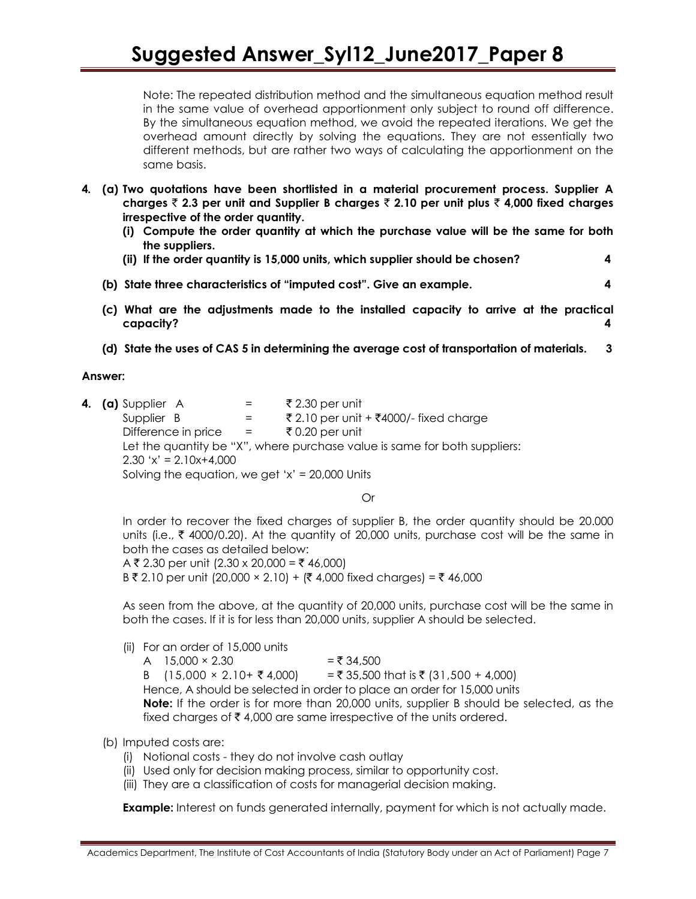Note: The repeated distribution method and the simultaneous equation method result in the same value of overhead apportionment only subject to round off difference. By the simultaneous equation method, we avoid the repeated iterations. We get the overhead amount directly by solving the equations. They are not essentially two different methods, but are rather two ways of calculating the apportionment on the same basis.

- **4. (a) Two quotations have been shortlisted in a material procurement process. Supplier A charges** ` **2.3 per unit and Supplier B charges** ` **2.10 per unit plus** ` **4,000 fixed charges irrespective of the order quantity.**
	- **(i) Compute the order quantity at which the purchase value will be the same for both the suppliers.**
	- **(ii) If the order quantity is 15,000 units, which supplier should be chosen? 4**
	- **(b) State three characteristics of "imputed cost". Give an example. 4**
	- **(c) What are the adjustments made to the installed capacity to arrive at the practical capacity? 4**
	- **(d) State the uses of CAS 5 in determining the average cost of transportation of materials. 3**

#### **Answer:**

**4.** (a) Supplier A  $=$   $\overline{z}$  2.30 per unit Supplier B  $=$   $\frac{1}{2}$   $\frac{10}{2}$  per unit +  $\frac{1}{2}$ 4000/- fixed charge Difference in price = ` 0.20 per unit Let the quantity be "X", where purchase value is same for both suppliers:  $2.30 \text{ 'x'} = 2.10x+4,000$ Solving the equation, we get 'x' =  $20,000$  Units

Or

In order to recover the fixed charges of supplier B, the order quantity should be 20.000 units (i.e.,  $\bar{\tau}$  4000/0.20). At the quantity of 20,000 units, purchase cost will be the same in both the cases as detailed below:

A ₹ 2.30 per unit (2.30 x 20,000 = ₹ 46,000) B ₹ 2.10 per unit (20,000 × 2.10) + (₹ 4,000 fixed charges) = ₹ 46,000

As seen from the above, at the quantity of 20,000 units, purchase cost will be the same in both the cases. If it is for less than 20,000 units, supplier A should be selected.

(ii) For an order of 15,000 units

A  $15,000 \times 2.30$  =  $\overline{5},34,500$ B  $(15,000 \times 2.10 + ₹ 4,000)$  =₹35,500 that is ₹ (31,500 + 4,000) Hence, A should be selected in order to place an order for 15,000 units **Note:** If the order is for more than 20,000 units, supplier B should be selected, as the fixed charges of  $\bar{\tau}$  4,000 are same irrespective of the units ordered.

## (b) Imputed costs are:

- (i) Notional costs they do not involve cash outlay
- (ii) Used only for decision making process, similar to opportunity cost.
- (iii) They are a classification of costs for managerial decision making.

**Example:** Interest on funds generated internally, payment for which is not actually made.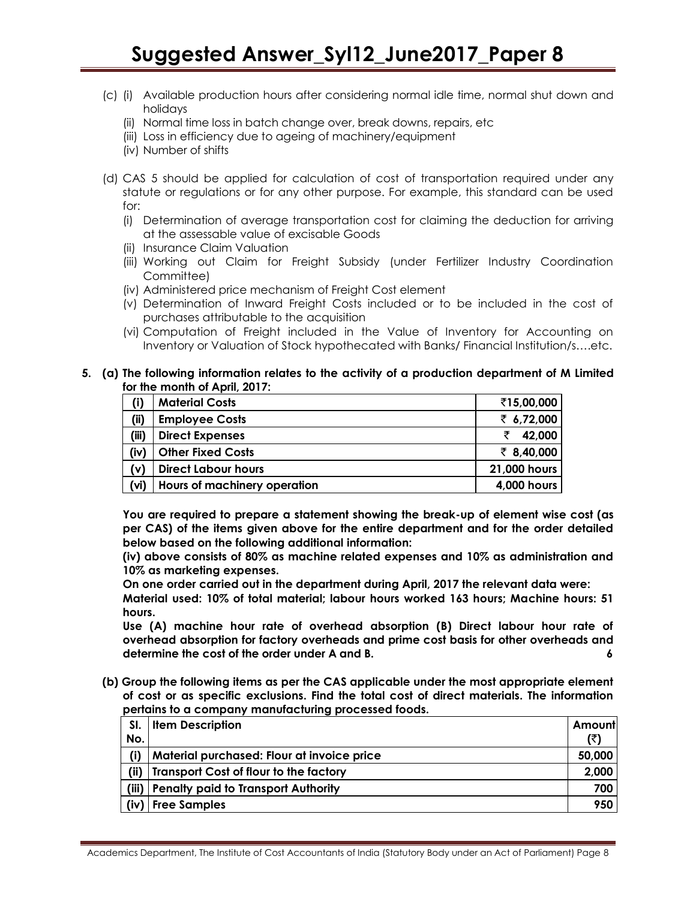- (c) (i) Available production hours after considering normal idle time, normal shut down and holidays
	- (ii) Normal time loss in batch change over, break downs, repairs, etc
	- (iii) Loss in efficiency due to ageing of machinery/equipment
	- (iv) Number of shifts
- (d) CAS 5 should be applied for calculation of cost of transportation required under any statute or regulations or for any other purpose. For example, this standard can be used for:
	- (i) Determination of average transportation cost for claiming the deduction for arriving at the assessable value of excisable Goods
	- (ii) Insurance Claim Valuation
	- (iii) Working out Claim for Freight Subsidy (under Fertilizer Industry Coordination Committee)
	- (iv) Administered price mechanism of Freight Cost element
	- (v) Determination of Inward Freight Costs included or to be included in the cost of purchases attributable to the acquisition
	- (vi) Computation of Freight included in the Value of Inventory for Accounting on Inventory or Valuation of Stock hypothecated with Banks/ Financial Institution/s….etc.
- **5. (a) The following information relates to the activity of a production department of M Limited for the month of April, 2017:**

| (i)   | <b>Material Costs</b>        | ₹15,00,000   |
|-------|------------------------------|--------------|
| (i)   | <b>Employee Costs</b>        | ₹ 6,72,000   |
| (iii) | <b>Direct Expenses</b>       | 42,000       |
| (iv)  | <b>Other Fixed Costs</b>     | ₹ 8,40,000   |
| (v)   | <b>Direct Labour hours</b>   | 21,000 hours |
| (vi)  | Hours of machinery operation | 4,000 hours  |

**You are required to prepare a statement showing the break-up of element wise cost (as per CAS) of the items given above for the entire department and for the order detailed below based on the following additional information:**

**(iv) above consists of 80% as machine related expenses and 10% as administration and 10% as marketing expenses.**

**On one order carried out in the department during April, 2017 the relevant data were:**

**Material used: 10% of total material; labour hours worked 163 hours; Machine hours: 51 hours.**

**Use (A) machine hour rate of overhead absorption (B) Direct labour hour rate of overhead absorption for factory overheads and prime cost basis for other overheads and determine the cost of the order under A and B. 6**

**(b) Group the following items as per the CAS applicable under the most appropriate element of cost or as specific exclusions. Find the total cost of direct materials. The information pertains to a company manufacturing processed foods.** 

| SI.  | <b>Item Description</b>                       | Amount |
|------|-----------------------------------------------|--------|
| No.  |                                               |        |
| (i)  | Material purchased: Flour at invoice price    | 50,000 |
| (ii) | <b>Transport Cost of flour to the factory</b> | 2,000  |
|      | (iii) Penalty paid to Transport Authority     | 700    |
|      | (iv) Free Samples                             | 950    |

Academics Department, The Institute of Cost Accountants of India (Statutory Body under an Act of Parliament) Page 8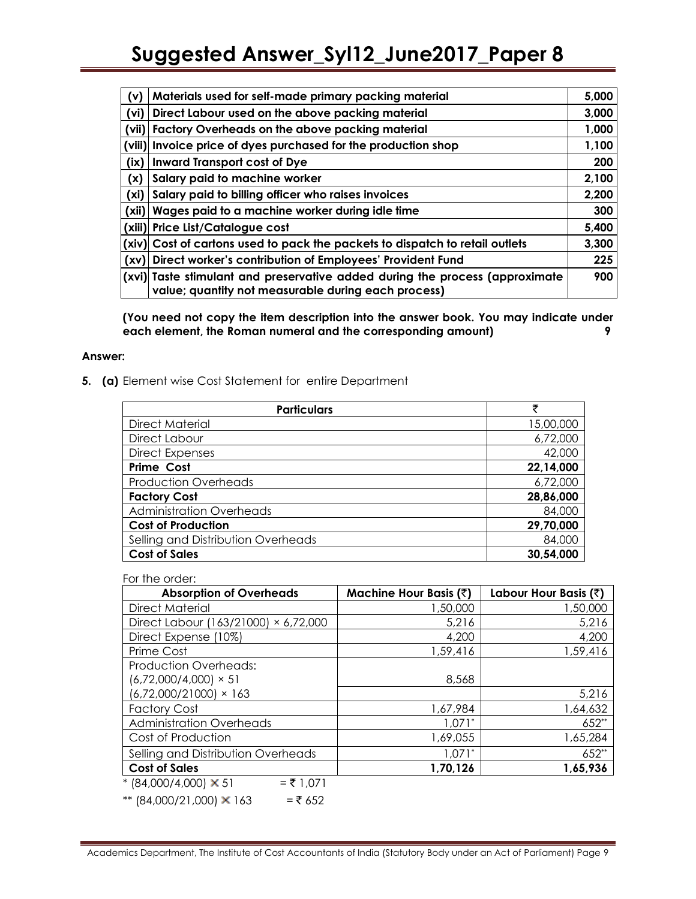| (v)    | Materials used for self-made primary packing material                                                                               | 5,000 |
|--------|-------------------------------------------------------------------------------------------------------------------------------------|-------|
| (vi)   | Direct Labour used on the above packing material                                                                                    | 3,000 |
| (vii)  | <b>Factory Overheads on the above packing material</b>                                                                              | 1,000 |
| (viii) | Invoice price of dyes purchased for the production shop                                                                             | 1,100 |
| (ix)   | <b>Inward Transport cost of Dye</b>                                                                                                 | 200   |
| (x)    | Salary paid to machine worker                                                                                                       | 2,100 |
| (xi)   | Salary paid to billing officer who raises invoices                                                                                  | 2,200 |
| (xii)  | Wages paid to a machine worker during idle time                                                                                     | 300   |
| (xiii) | <b>Price List/Catalogue cost</b>                                                                                                    | 5,400 |
| (xiv)  | Cost of cartons used to pack the packets to dispatch to retail outlets                                                              | 3,300 |
| (xv)   | Direct worker's contribution of Employees' Provident Fund                                                                           | 225   |
|        | (xvi) Taste stimulant and preservative added during the process (approximate<br>value; quantity not measurable during each process) | 900   |

**(You need not copy the item description into the answer book. You may indicate under each element, the Roman numeral and the corresponding amount) 9**

#### **Answer:**

**5. (a)** Element wise Cost Statement for entire Department

| <b>Particulars</b>                 | ₹         |
|------------------------------------|-----------|
| Direct Material                    | 15,00,000 |
| Direct Labour                      | 6,72,000  |
| <b>Direct Expenses</b>             | 42,000    |
| <b>Prime Cost</b>                  | 22,14,000 |
| <b>Production Overheads</b>        | 6,72,000  |
| <b>Factory Cost</b>                | 28,86,000 |
| <b>Administration Overheads</b>    | 84,000    |
| <b>Cost of Production</b>          | 29,70,000 |
| Selling and Distribution Overheads | 84,000    |
| <b>Cost of Sales</b>               | 30,54,000 |

For the order:

| <b>Absorption of Overheads</b>            | Machine Hour Basis (₹) | Labour Hour Basis (₹) |
|-------------------------------------------|------------------------|-----------------------|
| <b>Direct Material</b>                    | 1,50,000               | 1,50,000              |
| Direct Labour (163/21000) × 6,72,000      | 5,216                  | 5,216                 |
| Direct Expense (10%)                      | 4,200                  | 4,200                 |
| Prime Cost                                | 1,59,416               | 1,59,416              |
| <b>Production Overheads:</b>              |                        |                       |
| $(6,72,000/4,000) \times 51$              | 8,568                  |                       |
| $(6,72,000/21000) \times 163$             |                        | 5,216                 |
| <b>Factory Cost</b>                       | 1,67,984               | 1,64,632              |
| <b>Administration Overheads</b>           | $1,071*$               | $652**$               |
| Cost of Production                        | 1,69,055               | 1,65,284              |
| Selling and Distribution Overheads        | $1.071*$               | 652**                 |
| <b>Cost of Sales</b>                      | 1,70,126               | 1,65,936              |
| $*(84,000/4,000) \times 51$<br>$= 71,071$ |                        |                       |

\*\*  $(84,000/21,000) \times 163$  = ₹ 652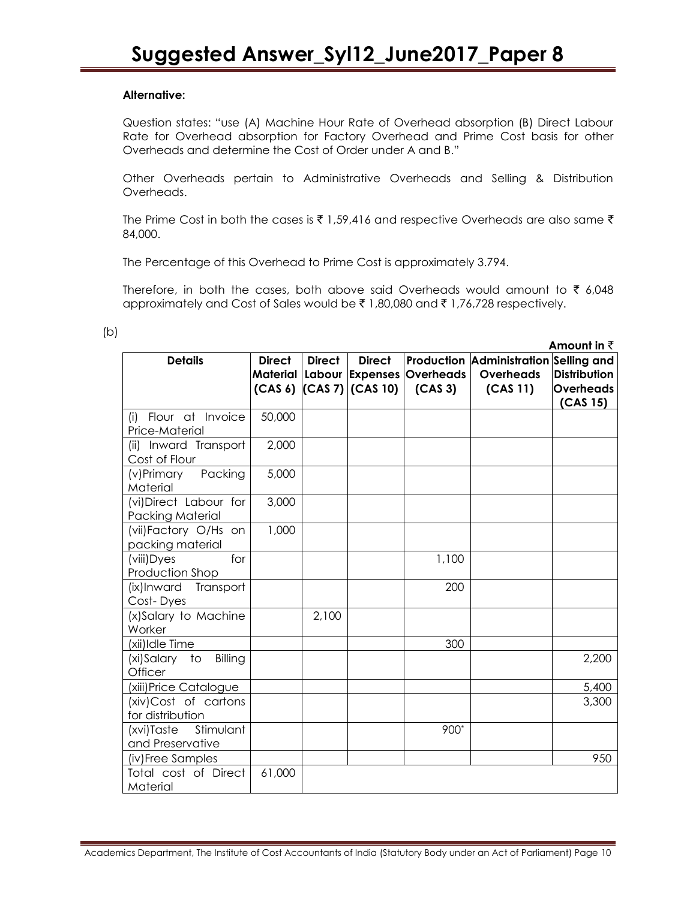# **Alternative:**

Question states: "use (A) Machine Hour Rate of Overhead absorption (B) Direct Labour Rate for Overhead absorption for Factory Overhead and Prime Cost basis for other Overheads and determine the Cost of Order under A and B."

Other Overheads pertain to Administrative Overheads and Selling & Distribution Overheads.

The Prime Cost in both the cases is  $\bar{\tau}$  1,59,416 and respective Overheads are also same  $\bar{\tau}$ 84,000.

The Percentage of this Overhead to Prime Cost is approximately 3.794.

Therefore, in both the cases, both above said Overheads would amount to  $\bar{\tau}$  6,048 approximately and Cost of Sales would be  $\bar{\tau}$  1,80,080 and  $\bar{\tau}$  1,76,728 respectively.

|                                                   |               |               |                                                 |                                                                 |                                                                | Amount in $\bar{z}$                          |
|---------------------------------------------------|---------------|---------------|-------------------------------------------------|-----------------------------------------------------------------|----------------------------------------------------------------|----------------------------------------------|
| <b>Details</b>                                    | <b>Direct</b> | <b>Direct</b> | <b>Direct</b><br>$(CAS 6)$ $(CAS 7)$ $(CAS 10)$ | Material   Labour   Expenses   Overheads<br>(CAS <sub>3</sub> ) | Production Administration Selling and<br>Overheads<br>(CAS 11) | <b>Distribution</b><br>Overheads<br>(CAS 15) |
| Flour at Invoice<br>(i)<br>Price-Material         | 50,000        |               |                                                 |                                                                 |                                                                |                                              |
| (ii) Inward Transport<br>Cost of Flour            | 2,000         |               |                                                 |                                                                 |                                                                |                                              |
| Packing<br>(v)Primary<br>Material                 | 5,000         |               |                                                 |                                                                 |                                                                |                                              |
| (vi) Direct Labour for<br><b>Packing Material</b> | 3,000         |               |                                                 |                                                                 |                                                                |                                              |
| (vii)Factory O/Hs on<br>packing material          | 1,000         |               |                                                 |                                                                 |                                                                |                                              |
| for<br>(viii) Dyes<br>Production Shop             |               |               |                                                 | 1,100                                                           |                                                                |                                              |
| (ix)Inward<br>Transport<br>Cost-Dyes              |               |               |                                                 | 200                                                             |                                                                |                                              |
| (x)Salary to Machine<br>Worker                    |               | 2,100         |                                                 |                                                                 |                                                                |                                              |
| (xii)Idle Time                                    |               |               |                                                 | 300                                                             |                                                                |                                              |
| (xi)Salary<br>Billing<br>to<br>Officer            |               |               |                                                 |                                                                 |                                                                | 2,200                                        |
| (xiii) Price Catalogue                            |               |               |                                                 |                                                                 |                                                                | 5,400                                        |
| (xiv) Cost of cartons<br>for distribution         |               |               |                                                 |                                                                 |                                                                | 3,300                                        |
| (xvi)Taste<br>Stimulant<br>and Preservative       |               |               |                                                 | 900*                                                            |                                                                |                                              |
| (iv)Free Samples                                  |               |               |                                                 |                                                                 |                                                                | 950                                          |
| Total cost of Direct<br>Material                  | 61,000        |               |                                                 |                                                                 |                                                                |                                              |

(b)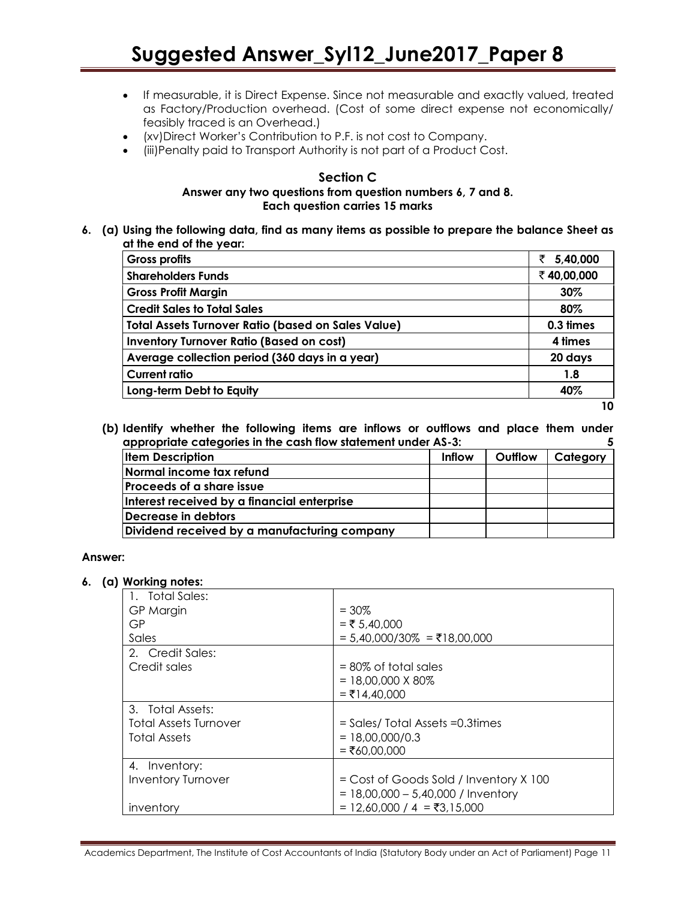- If measurable, it is Direct Expense. Since not measurable and exactly valued, treated as Factory/Production overhead. (Cost of some direct expense not economically/ feasibly traced is an Overhead.)
- (xv)Direct Worker"s Contribution to P.F. is not cost to Company.
- (iii)Penalty paid to Transport Authority is not part of a Product Cost.

#### **Section C Answer any two questions from question numbers 6, 7 and 8. Each question carries 15 marks**

**6. (a) Using the following data, find as many items as possible to prepare the balance Sheet as at the end of the year:** 

| Gross profits                                             | 5,40,000<br>₹ |
|-----------------------------------------------------------|---------------|
| <b>Shareholders Funds</b>                                 | ₹40,00,000    |
| <b>Gross Profit Margin</b>                                | 30%           |
| <b>Credit Sales to Total Sales</b>                        | 80%           |
| <b>Total Assets Turnover Ratio (based on Sales Value)</b> | 0.3 times     |
| <b>Inventory Turnover Ratio (Based on cost)</b>           | 4 times       |
| Average collection period (360 days in a year)            | 20 days       |
| <b>Current ratio</b>                                      | 1.8           |
| Long-term Debt to Equity                                  | 40%           |

**10**

**(b) Identify whether the following items are inflows or outflows and place them under appropriate categories in the cash flow statement under AS-3: 5**

| appropriate categories in the cash now statement shace field |        |         |          |  |
|--------------------------------------------------------------|--------|---------|----------|--|
| <b>Item Description</b>                                      | Inflow | Outflow | Category |  |
| Normal income tax refund                                     |        |         |          |  |
| <u>lProceeds of a share issue</u>                            |        |         |          |  |
| Interest received by a financial enterprise                  |        |         |          |  |
| Decrease in debtors                                          |        |         |          |  |
| Dividend received by a manufacturing company                 |        |         |          |  |

## **Answer:**

#### **6. (a) Working notes:**

| 1. Total Sales:              |                                        |
|------------------------------|----------------------------------------|
| GP Margin                    | $= 30\%$                               |
| GP                           | $=$ ₹ 5,40,000                         |
| Sales                        | = 5,40,000/30% = ₹18,00,000            |
| 2. Credit Sales:             |                                        |
| Credit sales                 | $= 80\%$ of total sales                |
|                              | $= 18,00,000 \times 80\%$              |
|                              | $=$ ₹14,40,000                         |
| 3. Total Assets:             |                                        |
| <b>Total Assets Turnover</b> | = Sales/ Total Assets = 0.3 times      |
| <b>Total Assets</b>          | $= 18,00,000/0.3$                      |
|                              | $= ₹60.00.000$                         |
| 4. Inventory:                |                                        |
| <b>Inventory Turnover</b>    | = Cost of Goods Sold / Inventory X 100 |
|                              | $= 18,00,000 - 5,40,000$ / Inventory   |
| inventory                    | = 12,60,000 / 4 = ₹3,15,000            |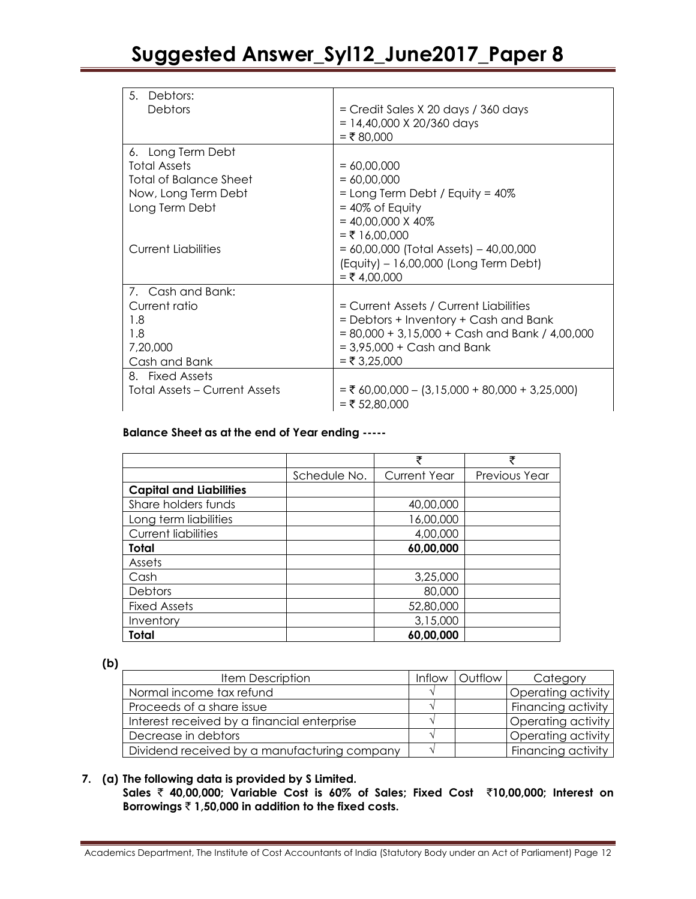| 5.<br>Debtors:                       |                                                  |
|--------------------------------------|--------------------------------------------------|
| Debtors                              | = Credit Sales X 20 days / 360 days              |
|                                      | $= 14,40,000 \times 20/360$ days                 |
|                                      | $= ₹ 80,000$                                     |
| 6. Long Term Debt                    |                                                  |
| <b>Total Assets</b>                  | $= 60,00,000$                                    |
| <b>Total of Balance Sheet</b>        | $= 60,00,000$                                    |
| Now, Long Term Debt                  | = Long Term Debt / Equity = 40%                  |
| Long Term Debt                       | $= 40\%$ of Equity                               |
|                                      | $= 40,00,000 \times 40\%$                        |
|                                      | $=$ ₹ 16,00,000                                  |
| <b>Current Liabilities</b>           | $= 60,00,000$ (Total Assets) - 40,00,000         |
|                                      | (Equity) – 16,00,000 (Long Term Debt)            |
|                                      | $= ₹ 4,00,000$                                   |
| 7. Cash and Bank:                    |                                                  |
| Current ratio                        | = Current Assets / Current Liabilities           |
| 1.8                                  | = Debtors + Inventory + Cash and Bank            |
| 1.8                                  | $= 80,000 + 3,15,000 + Cash$ and Bank / 4,00,000 |
| 7,20,000                             | $= 3,95,000 + Cash$ and Bank                     |
| Cash and Bank                        | $= ₹ 3,25,000$                                   |
| 8. Fixed Assets                      |                                                  |
| <b>Total Assets – Current Assets</b> | $=$ ₹ 60,00,000 - (3,15,000 + 80,000 + 3,25,000) |
|                                      | $=$ ₹ 52,80,000                                  |

# **Balance Sheet as at the end of Year ending -----**

|                                |              | ₹                   | ₹             |
|--------------------------------|--------------|---------------------|---------------|
|                                | Schedule No. | <b>Current Year</b> | Previous Year |
| <b>Capital and Liabilities</b> |              |                     |               |
| Share holders funds            |              | 40,00,000           |               |
| Long term liabilities          |              | 16,00,000           |               |
| <b>Current liabilities</b>     |              | 4,00,000            |               |
| Total                          |              | 60,00,000           |               |
| Assets                         |              |                     |               |
| Cash                           |              | 3,25,000            |               |
| <b>Debtors</b>                 |              | 80,000              |               |
| <b>Fixed Assets</b>            |              | 52,80,000           |               |
| Inventory                      |              | 3,15,000            |               |
| Total                          |              | 60,00,000           |               |

## **(b)**

| <b>Item Description</b>                      | <b>Inflow</b> | <b>Outflow</b> | Category           |
|----------------------------------------------|---------------|----------------|--------------------|
| Normal income tax refund                     |               |                | Operating activity |
| Proceeds of a share issue                    |               |                | Financing activity |
| Interest received by a financial enterprise  |               |                | Operating activity |
| Decrease in debtors                          |               |                | Operating activity |
| Dividend received by a manufacturing company |               |                | Financing activity |

## **7. (a) The following data is provided by S Limited.**

**Sales** ` **40,00,000; Variable Cost is 60% of Sales; Fixed Cost** `**10,00,000; Interest on Borrowings** ` **1,50,000 in addition to the fixed costs.**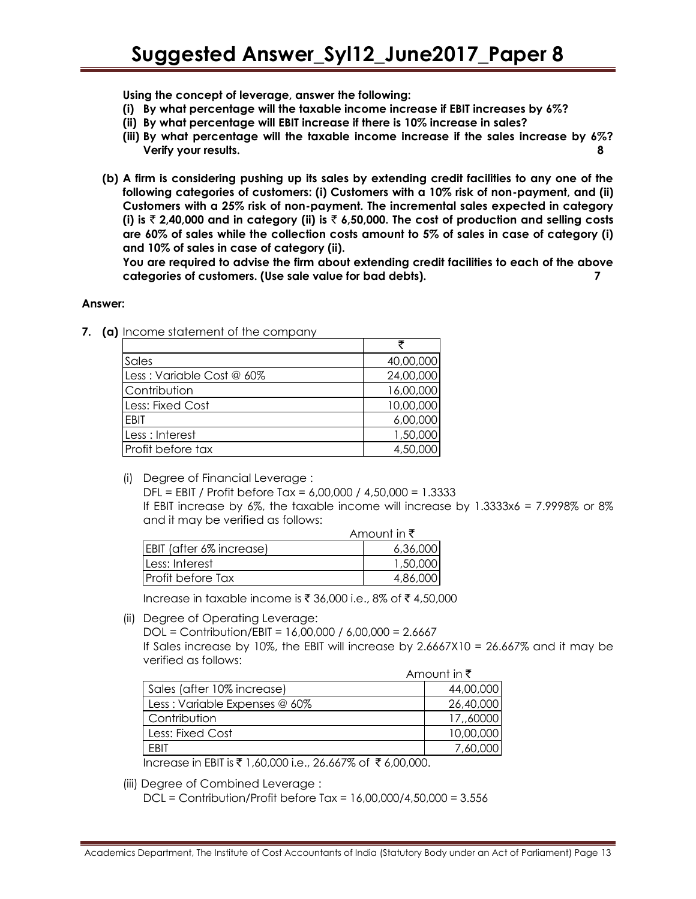**Using the concept of leverage, answer the following:**

- **(i) By what percentage will the taxable income increase if EBIT increases by 6%?**
- **(ii) By what percentage will EBIT increase if there is 10% increase in sales?**
- **(iii) By what percentage will the taxable income increase if the sales increase by 6%? Verify your results. 8**
- **(b) A firm is considering pushing up its sales by extending credit facilities to any one of the following categories of customers: (i) Customers with a 10% risk of non-payment, and (ii) Customers with a 25% risk of non-payment. The incremental sales expected in category (i) is** ` **2,40,000 and in category (ii) is** ` **6,50,000. The cost of production and selling costs are 60% of sales while the collection costs amount to 5% of sales in case of category (i) and 10% of sales in case of category (ii).**

**You are required to advise the firm about extending credit facilities to each of the above categories of customers. (Use sale value for bad debts). 7**

#### **Answer:**

**7. (a)** Income statement of the company

| Sales                     | 40,00,000 |
|---------------------------|-----------|
| Less: Variable Cost @ 60% | 24,00,000 |
| Contribution              | 16,00,000 |
| Less: Fixed Cost          | 10,00,000 |
| EBIT                      | 6,00,000  |
| Less : Interest           | 1,50,000  |
| Profit before tax         | 4,50,000  |

(i) Degree of Financial Leverage :

DFL = EBIT / Profit before Tax = 6,00,000 / 4,50,000 = 1.3333 If EBIT increase by 6%, the taxable income will increase by 1.3333x6 = 7.9998% or 8% and it may be verified as follows:

|                          | Amount in ₹ |
|--------------------------|-------------|
| EBIT (after 6% increase) | 6,36,000    |
| Less: Interest           | 1,50,000    |
| lProfit before Tax       | 4,86,000    |

Increase in taxable income is ₹ 36,000 i.e., 8% of ₹ 4,50,000

(ii) Degree of Operating Leverage:

DOL = Contribution/EBIT = 16,00,000 / 6,00,000 = 2.6667

If Sales increase by 10%, the EBIT will increase by  $2.6667X10 = 26.667\%$  and it may be verified as follows:

|                               | Amount in $\bar{\tau}$ |
|-------------------------------|------------------------|
| Sales (after 10% increase)    | 44,00,000              |
| Less: Variable Expenses @ 60% | 26,40,000              |
| Contribution                  | 17,,60000              |
| Less: Fixed Cost              | 10,00,000              |
| <b>FBIT</b>                   | 7,60,000               |

Increase in EBIT is ₹ 1,60,000 i.e., 26.667% of ₹ 6,00,000.

(iii) Degree of Combined Leverage :

DCL = Contribution/Profit before Tax = 16,00,000/4,50,000 = 3.556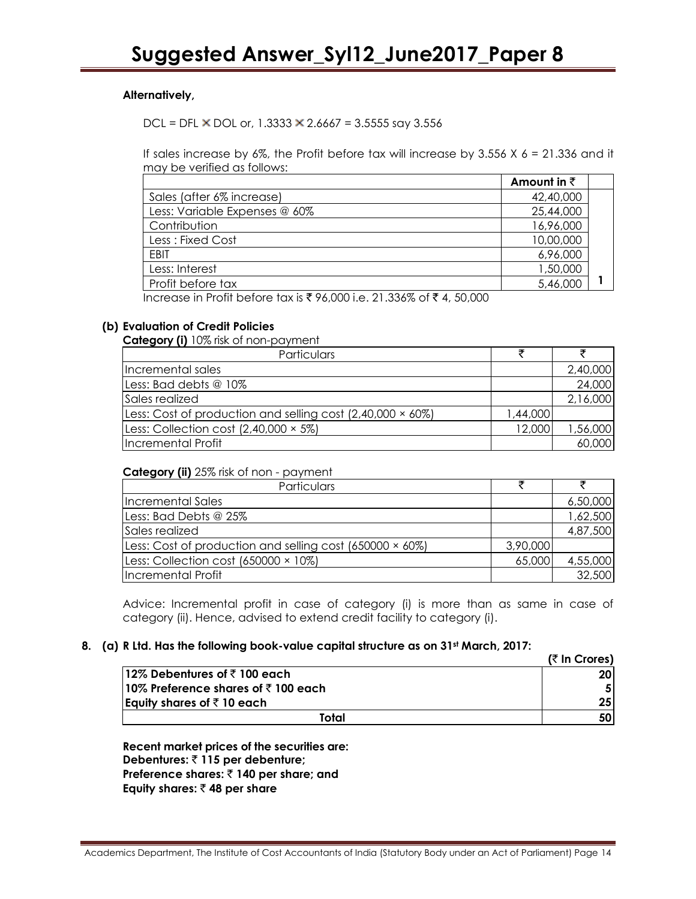# **Alternatively,**

DCL = DFL  $\times$  DOL or, 1.3333  $\times$  2.6667 = 3.5555 say 3.556

If sales increase by  $6\%$ , the Profit before tax will increase by 3.556 X  $6 = 21.336$  and it may be verified as follows:

|                                                                                                | Amount in $\bar{z}$ |  |
|------------------------------------------------------------------------------------------------|---------------------|--|
| Sales (after 6% increase)                                                                      | 42,40,000           |  |
| Less: Variable Expenses @ 60%                                                                  | 25,44,000           |  |
| Contribution                                                                                   | 16,96,000           |  |
| Less : Fixed Cost                                                                              | 10,00,000           |  |
| EBIT                                                                                           | 6,96,000            |  |
| Less: Interest                                                                                 | 1,50,000            |  |
| Profit before tax                                                                              | 5,46,000            |  |
| Increase in Profit before tax is $\overline{z}$ 96,000 i.e. 21,336% of $\overline{z}$ 4,50,000 |                     |  |

Increase in Profit before fax is  $\bar{\zeta}$  96,000 i.e. 21.336% of  $\bar{\zeta}$  4, 50,000

#### **(b) Evaluation of Credit Policies**

**Category (i)** 10% risk of non-payment

| Particulars                                                 |          |          |
|-------------------------------------------------------------|----------|----------|
| Incremental sales                                           |          | 2,40,000 |
| Less: Bad debts @ 10%                                       |          | 24,000   |
| Sales realized                                              |          | 2,16,000 |
| [Less: Cost of production and selling cost (2,40,000 × 60%) | 1,44,000 |          |
| Less: Collection cost $(2,40,000 \times 5\%)$               | 12,000   | 1,56,000 |
| Incremental Profit                                          |          | 60,000   |

#### **Category (ii)** 25% risk of non - payment

| Particulars                                              |          |          |
|----------------------------------------------------------|----------|----------|
| Incremental Sales                                        |          | 6,50,000 |
| Less: Bad Debts @ 25%                                    |          | 1,62,500 |
| Sales realized                                           |          | 4,87,500 |
| Less: Cost of production and selling cost (650000 × 60%) | 3,90,000 |          |
| Less: Collection cost (650000 × 10%)                     | 65,000   | 4,55,000 |
| Incremental Profit                                       |          | 32,500   |

Advice: Incremental profit in case of category (i) is more than as same in case of category (ii). Hence, advised to extend credit facility to category (i).

# **8. (a) R Ltd. Has the following book-value capital structure as on 31st March, 2017:**

|                                                | $($ ₹ In Crores) |
|------------------------------------------------|------------------|
| 12% Debentures of $\bar{\tau}$ 100 each        | <b>20I</b>       |
| 10% Preference shares of $\bar{\tau}$ 100 each |                  |
| Equity shares of $\bar{z}$ 10 each             | 25 <sub>l</sub>  |
| Total                                          | 50               |

**Recent market prices of the securities are: Debentures:** ` **115 per debenture; Preference shares:** ` **140 per share; and Equity shares:** ` **48 per share**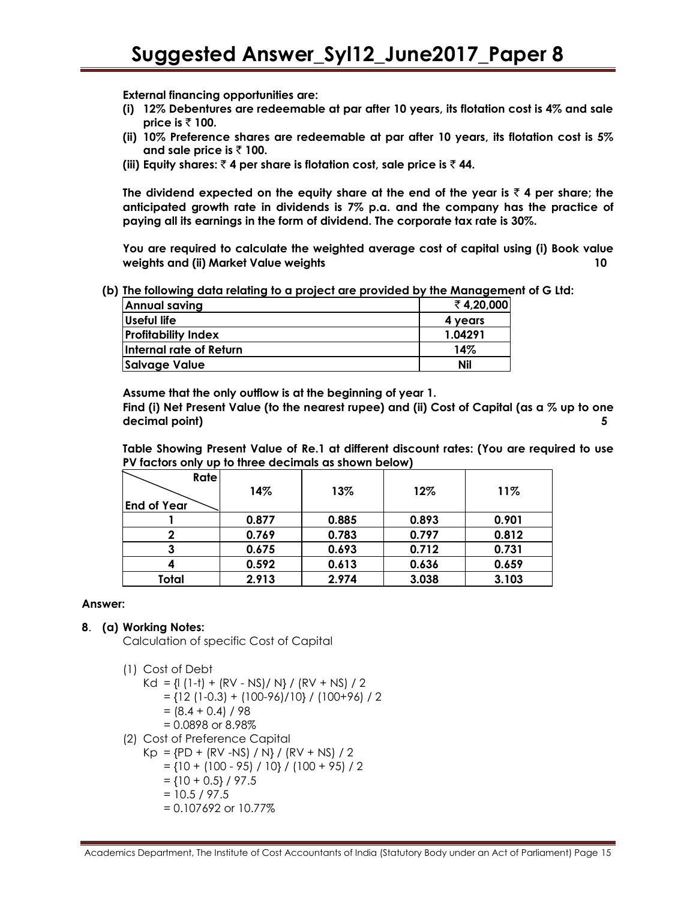**External financing opportunities are:**

- **(i) 12% Debentures are redeemable at par after 10 years, its flotation cost is 4% and sale price is**  $\bar{\tau}$  **100.**
- **(ii) 10% Preference shares are redeemable at par after 10 years, its flotation cost is 5% and sale price is** ` **100.**
- (iii) Equity shares:  $\bar{\tau}$  4 per share is flotation cost, sale price is  $\bar{\tau}$  44.

The dividend expected on the equity share at the end of the year is  $\bar{\tau}$  4 per share; the **anticipated growth rate in dividends is 7% p.a. and the company has the practice of paying all its earnings in the form of dividend. The corporate tax rate is 30%.**

**You are required to calculate the weighted average cost of capital using (i) Book value weights and (ii) Market Value weights 10**

**(b) The following data relating to a project are provided by the Management of G Ltd:**

| Annual saving              | ₹4,20,000 |
|----------------------------|-----------|
| Useful life                | 4 years   |
| <b>Profitability Index</b> | 1.04291   |
| Internal rate of Return    | 14%       |
| Salvage Value              | Nil       |

**Assume that the only outflow is at the beginning of year 1. Find (i) Net Present Value (to the nearest rupee) and (ii) Cost of Capital (as a % up to one decimal point) 5**

**Table Showing Present Value of Re.1 at different discount rates: (You are required to use PV factors only up to three decimals as shown below)** 

| <b>Rate</b><br><b>End of Year</b> | 14%   | 13%   | 12%   | 11%   |
|-----------------------------------|-------|-------|-------|-------|
|                                   | 0.877 | 0.885 | 0.893 | 0.901 |
| 2                                 | 0.769 | 0.783 | 0.797 | 0.812 |
| 3                                 | 0.675 | 0.693 | 0.712 | 0.731 |
| 4                                 | 0.592 | 0.613 | 0.636 | 0.659 |
| Total                             | 2.913 | 2.974 | 3.038 | 3.103 |

#### **Answer:**

## **8**. **(a) Working Notes:**

Calculation of specific Cost of Capital

- (1) Cost of Debt
	- Kd = {| (1-t) + (RV NS)/ N} / (RV + NS) / 2
		- = {12 (1-0.3) + (100-96)/10} / (100+96) / 2
		- $= (8.4 + 0.4) / 98$
		- = 0.0898 or 8.98%
- (2) Cost of Preference Capital
	- $Kp = {PD + (RV NS) / N} / (RV + NS) / 2$  $=$  {10 + (100 - 95) / 10} / (100 + 95) / 2
		- $=$  {10 + 0.5} / 97.5
		- $= 10.5 / 97.5$
		- = 0.107692 or 10.77%